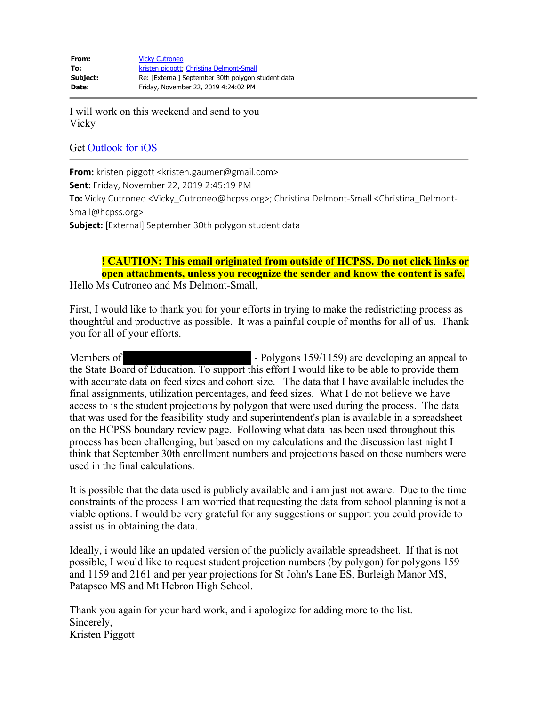I will work on this weekend and send to you Vicky

## Get Outlook for iOS

**From:** kristen piggott <kristen.gaumer@gmail.com> **Sent:** Friday, November 22, 2019 2:45:19 PM **To:** Vicky Cutroneo <Vicky\_Cutroneo@hcpss.org>; Christina Delmont-Small <Christina\_Delmont-Small@hcpss.org> **Subject:** [External] September 30th polygon student data

**! CAUTION: This email originated from outside of HCPSS. Do not click links or open attachments, unless you recognize the sender and know the content is safe.** Hello Ms Cutroneo and Ms Delmont-Small,

First, I would like to thank you for your efforts in trying to make the redistricting process as thoughtful and productive as possible. It was a painful couple of months for all of us. Thank you for all of your efforts.

Members of **- Polygons 159/1159** are developing an appeal to the State Board of Education. To support this effort I would like to be able to provide them with accurate data on feed sizes and cohort size. The data that I have available includes the final assignments, utilization percentages, and feed sizes. What I do not believe we have access to is the student projections by polygon that were used during the process. The data that was used for the feasibility study and superintendent's plan is available in a spreadsheet on the HCPSS boundary review page. Following what data has been used throughout this process has been challenging, but based on my calculations and the discussion last night I think that September 30th enrollment numbers and projections based on those numbers were used in the final calculations.

It is possible that the data used is publicly available and i am just not aware. Due to the time constraints of the process I am worried that requesting the data from school planning is not a viable options. I would be very grateful for any suggestions or support you could provide to assist us in obtaining the data.

Ideally, i would like an updated version of the publicly available spreadsheet. If that is not possible, I would like to request student projection numbers (by polygon) for polygons 159 and 1159 and 2161 and per year projections for St John's Lane ES, Burleigh Manor MS, Patapsco MS and Mt Hebron High School.

Thank you again for your hard work, and i apologize for adding more to the list. Sincerely, Kristen Piggott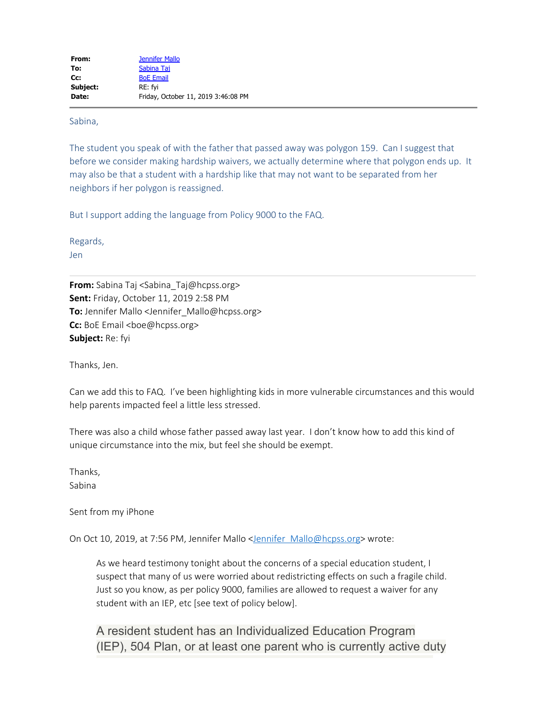Sabina,

The student you speak of with the father that passed away was polygon 159. Can I suggest that before we consider making hardship waivers, we actually determine where that polygon ends up. It may also be that a student with a hardship like that may not want to be separated from her neighbors if her polygon is reassigned.

But I support adding the language from Policy 9000 to the FAQ.

Regards,

Jen

**From:** Sabina Taj <Sabina\_Taj@hcpss.org> **Sent:** Friday, October 11, 2019 2:58 PM **To:** Jennifer Mallo <Jennifer\_Mallo@hcpss.org> **Cc:** BoE Email <br />boe@hcpss.org> **Subject:** Re: fyi

Thanks, Jen.

Can we add this to FAQ. I've been highlighting kids in more vulnerable circumstances and this would help parents impacted feel a little less stressed.

There was also a child whose father passed away last year. I don't know how to add this kind of unique circumstance into the mix, but feel she should be exempt.

Thanks, Sabina

Sent from my iPhone

On Oct 10, 2019, at 7:56 PM, Jennifer Mallo <Jennifer Mallo@hcpss.org> wrote:

As we heard testimony tonight about the concerns of a special education student, I suspect that many of us were worried about redistricting effects on such a fragile child. Just so you know, as per policy 9000, families are allowed to request a waiver for any student with an IEP, etc [see text of policy below].

A resident student has an Individualized Education Program (IEP), 504 Plan, or at least one parent who is currently active duty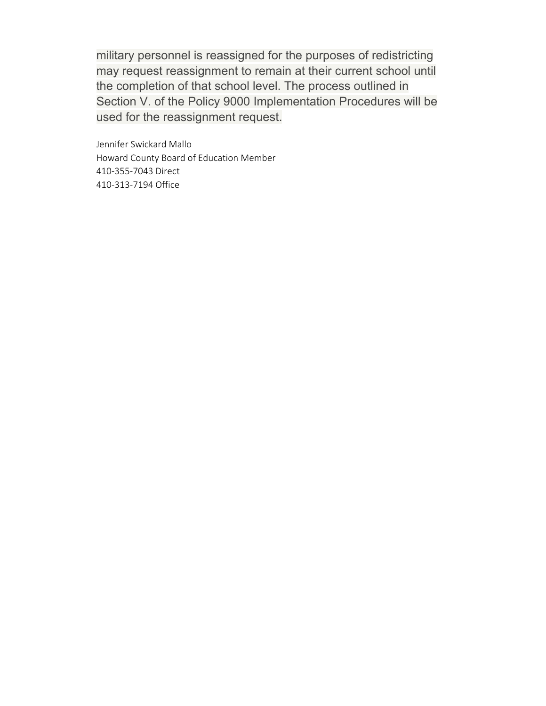military personnel is reassigned for the purposes of redistricting may request reassignment to remain at their current school until the completion of that school level. The process outlined in Section V. of the Policy 9000 Implementation Procedures will be used for the reassignment request.

Jennifer Swickard Mallo Howard County Board of Education Member 410-355-7043 Direct 410-313-7194 Office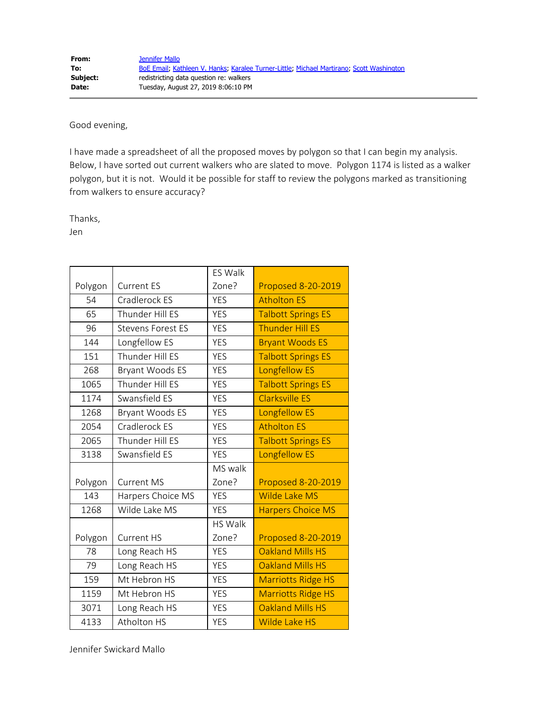Good evening,

I have made a spreadsheet of all the proposed moves by polygon so that I can begin my analysis. Below, I have sorted out current walkers who are slated to move. Polygon 1174 is listed as a walker polygon, but it is not. Would it be possible for staff to review the polygons marked as transitioning from walkers to ensure accuracy?

Thanks,

Jen

|         |                          | <b>ES Walk</b> |                           |
|---------|--------------------------|----------------|---------------------------|
| Polygon | <b>Current ES</b>        | Zone?          | <b>Proposed 8-20-2019</b> |
| 54      | Cradlerock ES            | <b>YES</b>     | <b>Atholton ES</b>        |
| 65      | Thunder Hill ES          | <b>YES</b>     | <b>Talbott Springs ES</b> |
| 96      | <b>Stevens Forest ES</b> | <b>YES</b>     | <b>Thunder Hill ES</b>    |
| 144     | Longfellow ES            | <b>YES</b>     | <b>Bryant Woods ES</b>    |
| 151     | Thunder Hill ES          | <b>YES</b>     | <b>Talbott Springs ES</b> |
| 268     | Bryant Woods ES          | <b>YES</b>     | <b>Longfellow ES</b>      |
| 1065    | Thunder Hill ES          | <b>YES</b>     | <b>Talbott Springs ES</b> |
| 1174    | Swansfield ES            | <b>YES</b>     | <b>Clarksville ES</b>     |
| 1268    | Bryant Woods ES          | <b>YES</b>     | <b>Longfellow ES</b>      |
| 2054    | Cradlerock ES            | <b>YES</b>     | <b>Atholton ES</b>        |
| 2065    | Thunder Hill ES          | <b>YES</b>     | <b>Talbott Springs ES</b> |
| 3138    | Swansfield ES            | <b>YES</b>     | <b>Longfellow ES</b>      |
|         |                          | MS walk        |                           |
| Polygon | <b>Current MS</b>        | Zone?          | <b>Proposed 8-20-2019</b> |
| 143     | Harpers Choice MS        | <b>YES</b>     | Wilde Lake MS             |
| 1268    | Wilde Lake MS            | <b>YES</b>     | <b>Harpers Choice MS</b>  |
|         |                          | <b>HS Walk</b> |                           |
| Polygon | <b>Current HS</b>        | Zone?          | <b>Proposed 8-20-2019</b> |
| 78      | Long Reach HS            | <b>YES</b>     | <b>Oakland Mills HS</b>   |
| 79      | Long Reach HS            | <b>YES</b>     | <b>Oakland Mills HS</b>   |
| 159     | Mt Hebron HS             | <b>YES</b>     | <b>Marriotts Ridge HS</b> |
| 1159    | Mt Hebron HS             | <b>YES</b>     | <b>Marriotts Ridge HS</b> |
| 3071    | Long Reach HS            | <b>YES</b>     | Oakland Mills HS          |
| 4133    | Atholton HS              | <b>YES</b>     | <b>Wilde Lake HS</b>      |

Jennifer Swickard Mallo